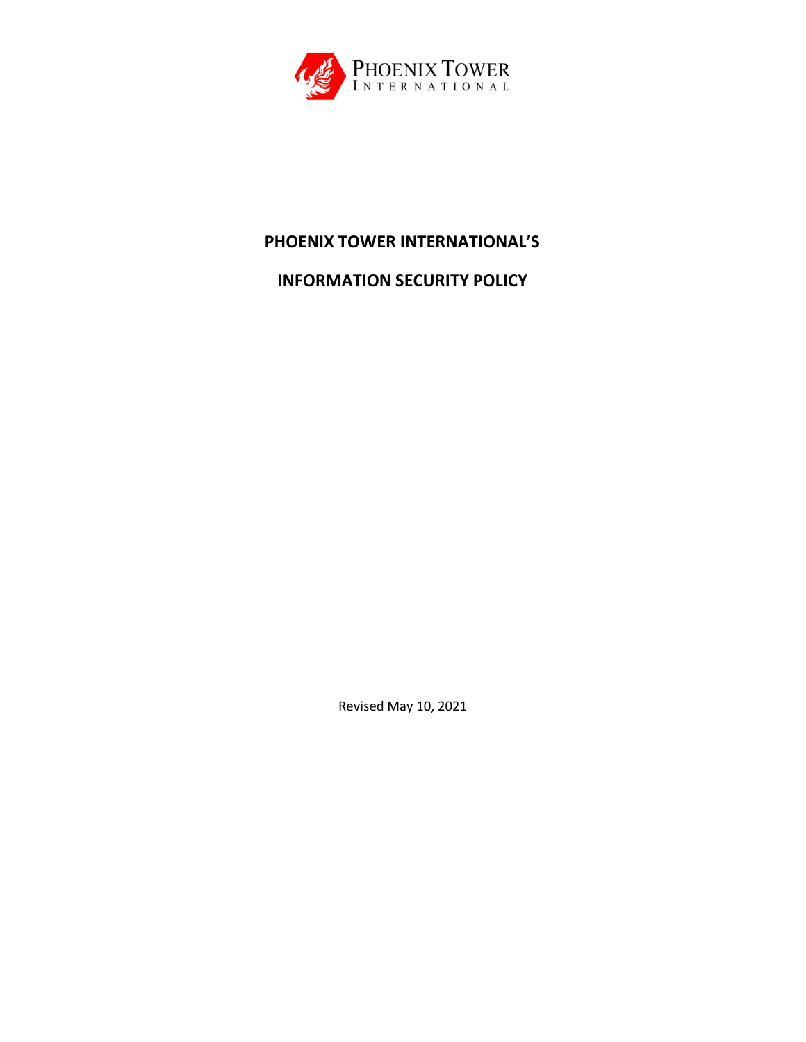

# **PHOENIX TOWER INTERNATIONAL'S**

**INFORMATION SECURITY POLICY**

Revised May 10, 2021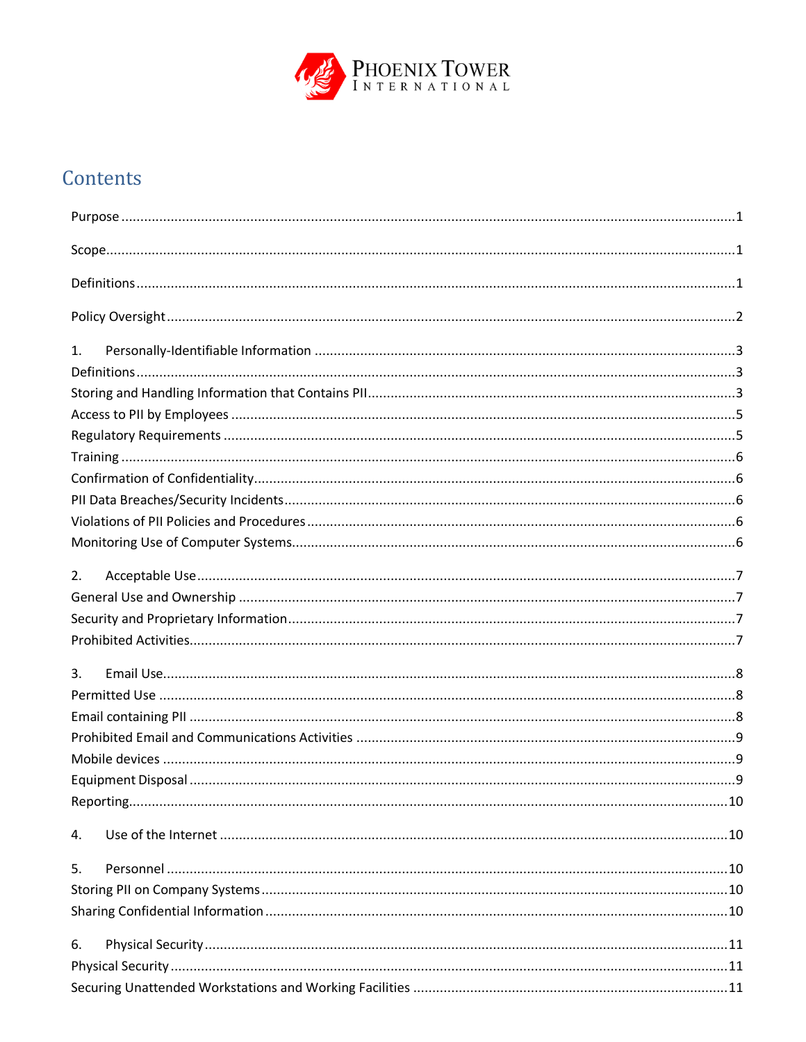

# Contents

| 1.             |  |
|----------------|--|
|                |  |
|                |  |
|                |  |
|                |  |
|                |  |
|                |  |
|                |  |
|                |  |
|                |  |
| 2.             |  |
|                |  |
|                |  |
|                |  |
| $\mathbf{3}$ . |  |
|                |  |
|                |  |
|                |  |
|                |  |
|                |  |
|                |  |
| 4.             |  |
| 5.             |  |
|                |  |
|                |  |
| 6.             |  |
|                |  |
|                |  |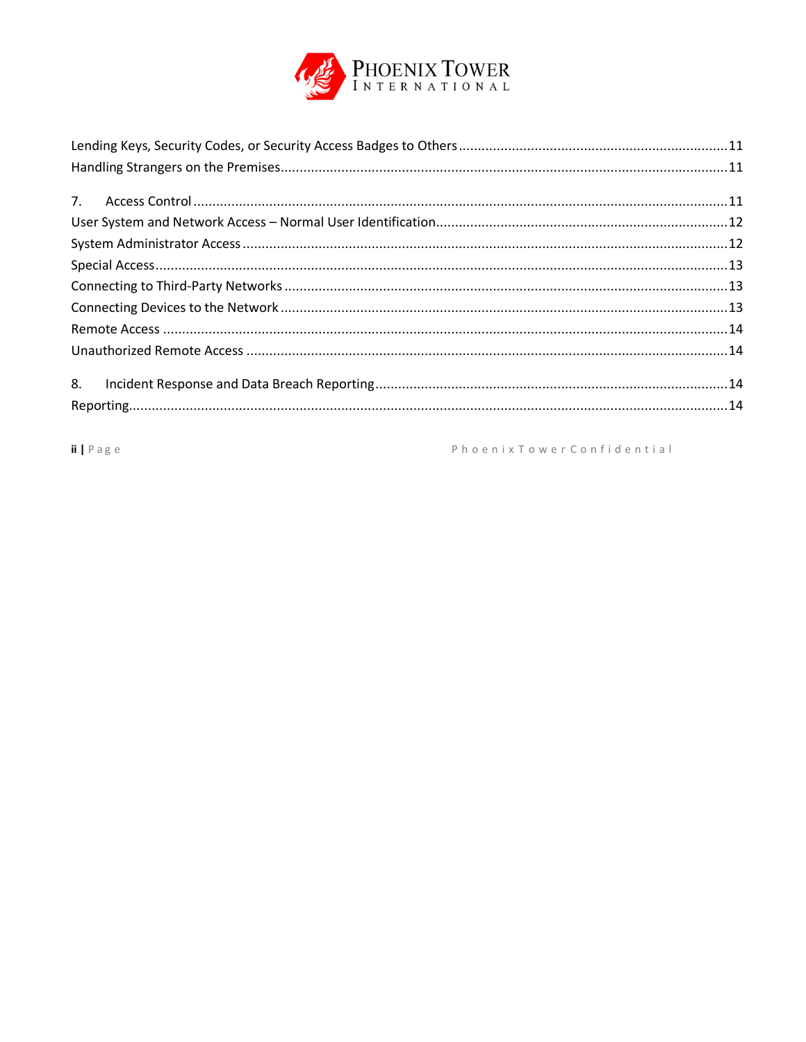

 $ii | P \text{age}$ 

Phoenix Tower Confidential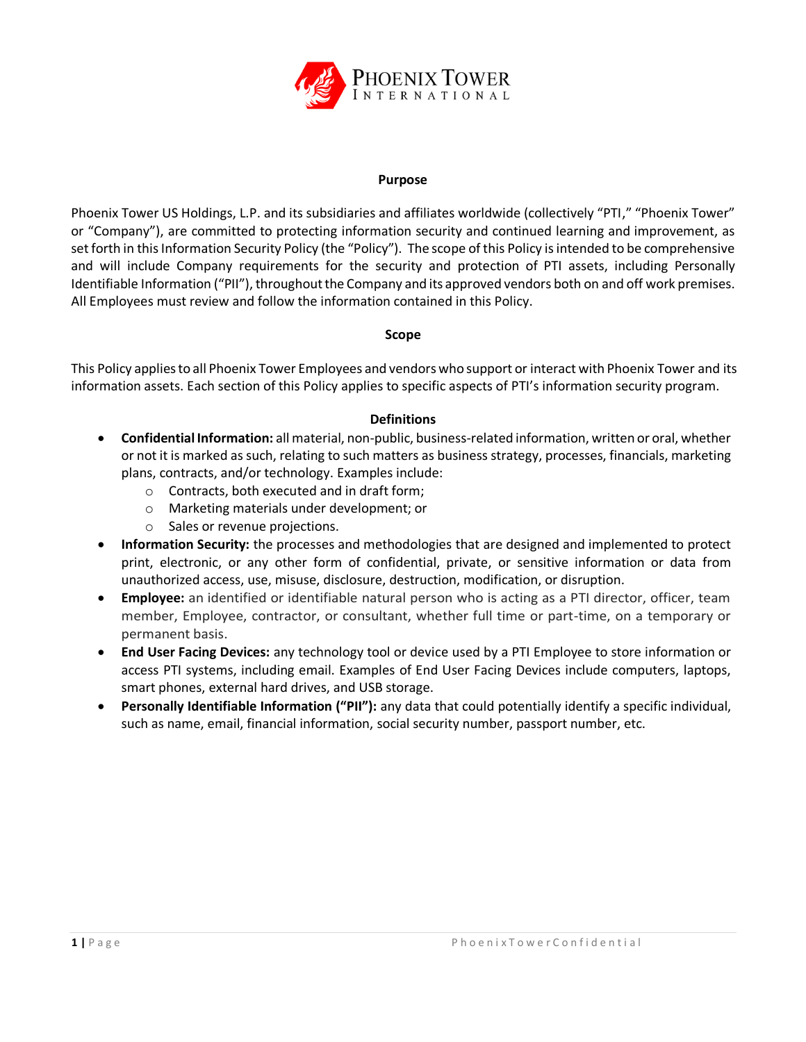

#### **Purpose**

<span id="page-3-0"></span>Phoenix Tower US Holdings, L.P. and its subsidiaries and affiliates worldwide (collectively "PTI," "Phoenix Tower" or "Company"), are committed to protecting information security and continued learning and improvement, as set forth in this Information Security Policy (the "Policy"). The scope of this Policy is intended to be comprehensive and will include Company requirements for the security and protection of PTI assets, including Personally Identifiable Information ("PII"), throughout the Company and its approved vendors both on and off work premises. All Employees must review and follow the information contained in this Policy.

#### **Scope**

<span id="page-3-1"></span>This Policy appliesto all Phoenix Tower Employees and vendors who support or interact with Phoenix Tower and its information assets. Each section of this Policy applies to specific aspects of PTI's information security program.

#### **Definitions**

- <span id="page-3-2"></span>• **Confidential Information:** all material, non-public, business-related information, written or oral, whether or not it is marked as such, relating to such matters as business strategy, processes, financials, marketing plans, contracts, and/or technology. Examples include:
	- o Contracts, both executed and in draft form;
	- o Marketing materials under development; or
	- o Sales or revenue projections.
- **Information Security:** the processes and methodologies that are designed and implemented to protect print, electronic, or any other form of confidential, private, or sensitive information or data from unauthorized access, use, misuse, disclosure, destruction, modification, or disruption.
- **Employee:** an identified or identifiable natural person who is acting as a PTI director, officer, team member, Employee, contractor, or consultant, whether full time or part-time, on a temporary or permanent basis.
- **End User Facing Devices:** any technology tool or device used by a PTI Employee to store information or access PTI systems, including email. Examples of End User Facing Devices include computers, laptops, smart phones, external hard drives, and USB storage.
- **Personally Identifiable Information ("PII"):** any data that could potentially identify a specific individual, such as name, email, financial information, social security number, passport number, etc.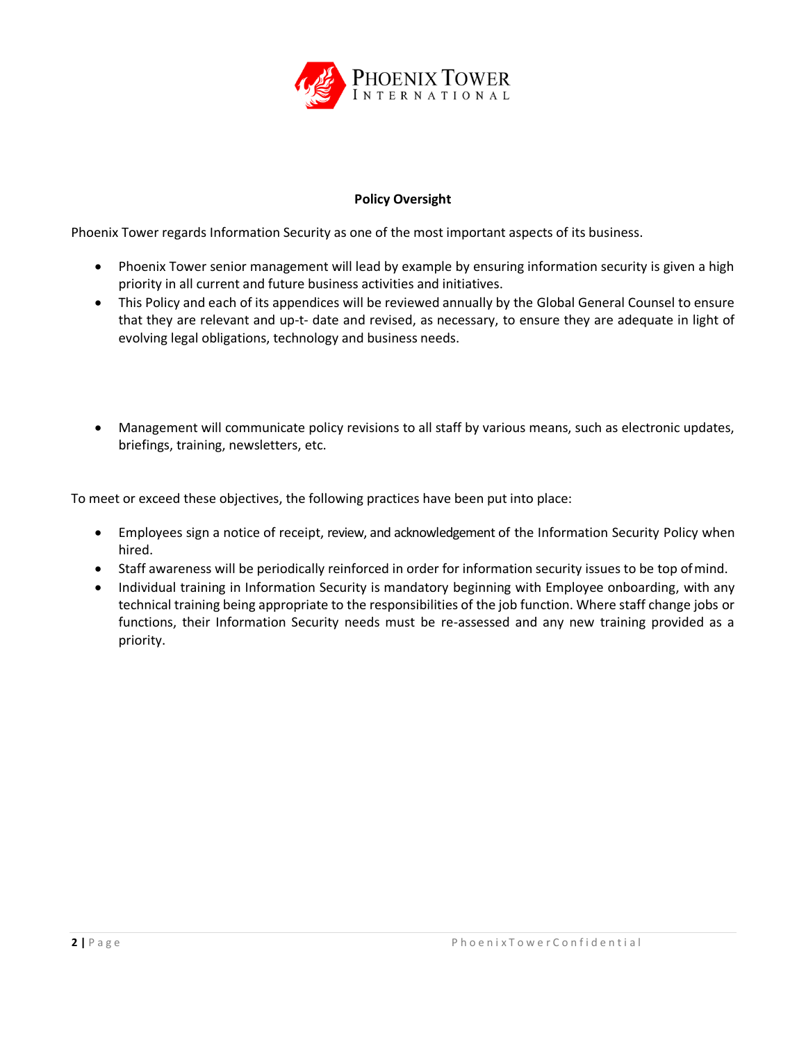

# **Policy Oversight**

<span id="page-4-0"></span>Phoenix Tower regards Information Security as one of the most important aspects of its business.

- Phoenix Tower senior management will lead by example by ensuring information security is given a high priority in all current and future business activities and initiatives.
- This Policy and each of its appendices will be reviewed annually by the Global General Counsel to ensure that they are relevant and up-t- date and revised, as necessary, to ensure they are adequate in light of evolving legal obligations, technology and business needs.
- Management will communicate policy revisions to all staff by various means, such as electronic updates, briefings, training, newsletters, etc.

To meet or exceed these objectives, the following practices have been put into place:

- Employees sign a notice of receipt, review, and acknowledgement of the Information Security Policy when hired.
- Staff awareness will be periodically reinforced in order for information security issues to be top ofmind.
- Individual training in Information Security is mandatory beginning with Employee onboarding, with any technical training being appropriate to the responsibilities of the job function. Where staff change jobs or functions, their Information Security needs must be re-assessed and any new training provided as a priority.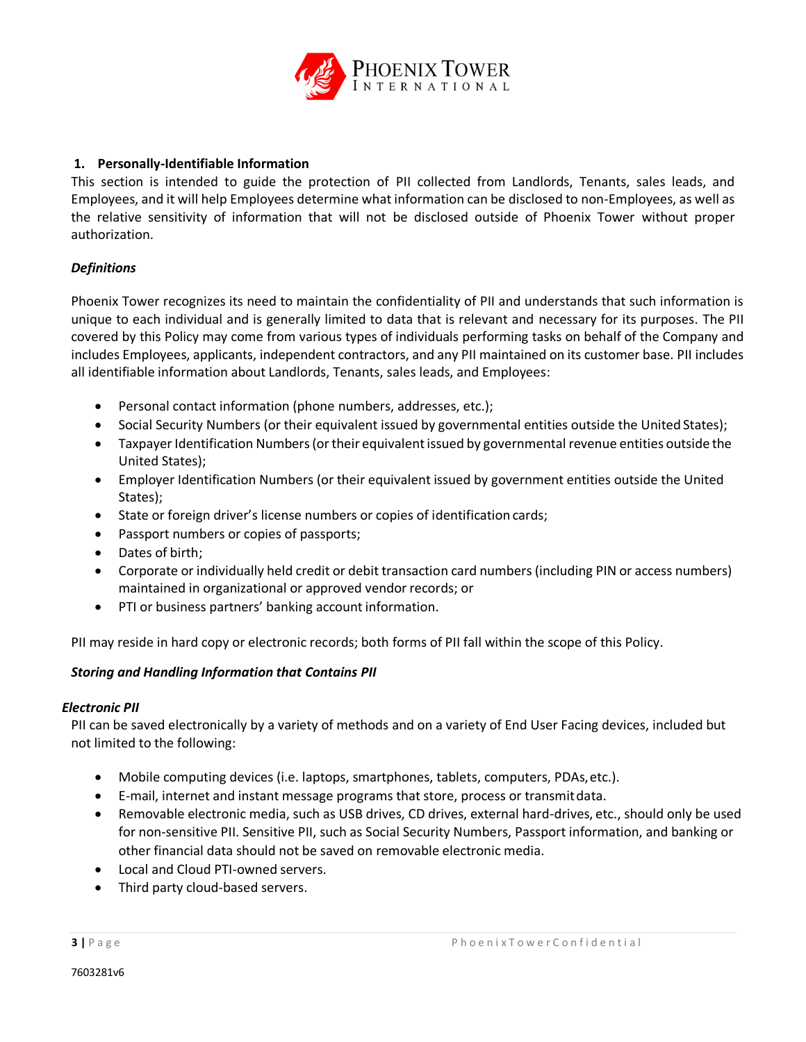

#### <span id="page-5-0"></span>**1. Personally-Identifiable Information**

This section is intended to guide the protection of PII collected from Landlords, Tenants, sales leads, and Employees, and it will help Employees determine what information can be disclosed to non-Employees, as well as the relative sensitivity of information that will not be disclosed outside of Phoenix Tower without proper authorization.

# <span id="page-5-1"></span>*Definitions*

Phoenix Tower recognizes its need to maintain the confidentiality of PII and understands that such information is unique to each individual and is generally limited to data that is relevant and necessary for its purposes. The PII covered by this Policy may come from various types of individuals performing tasks on behalf of the Company and includes Employees, applicants, independent contractors, and any PII maintained on its customer base. PII includes all identifiable information about Landlords, Tenants, sales leads, and Employees:

- Personal contact information (phone numbers, addresses, etc.);
- Social Security Numbers (or their equivalent issued by governmental entities outside the United States);
- Taxpayer Identification Numbers (or their equivalent issued by governmental revenue entities outside the United States);
- Employer Identification Numbers (or their equivalent issued by government entities outside the United States);
- State or foreign driver's license numbers or copies of identification cards;
- Passport numbers or copies of passports;
- Dates of birth;
- Corporate or individually held credit or debit transaction card numbers (including PIN or access numbers) maintained in organizational or approved vendor records; or
- PTI or business partners' banking account information.

PII may reside in hard copy or electronic records; both forms of PII fall within the scope of this Policy.

#### <span id="page-5-2"></span>*Storing and Handling Information that Contains PII*

#### *Electronic PII*

PII can be saved electronically by a variety of methods and on a variety of End User Facing devices, included but not limited to the following:

- Mobile computing devices (i.e. laptops, smartphones, tablets, computers, PDAs,etc.).
- E-mail, internet and instant message programs that store, process or transmitdata.
- Removable electronic media, such as USB drives, CD drives, external hard-drives, etc., should only be used for non-sensitive PII. Sensitive PII, such as Social Security Numbers, Passport information, and banking or other financial data should not be saved on removable electronic media.
- Local and Cloud PTI-owned servers.
- Third party cloud-based servers.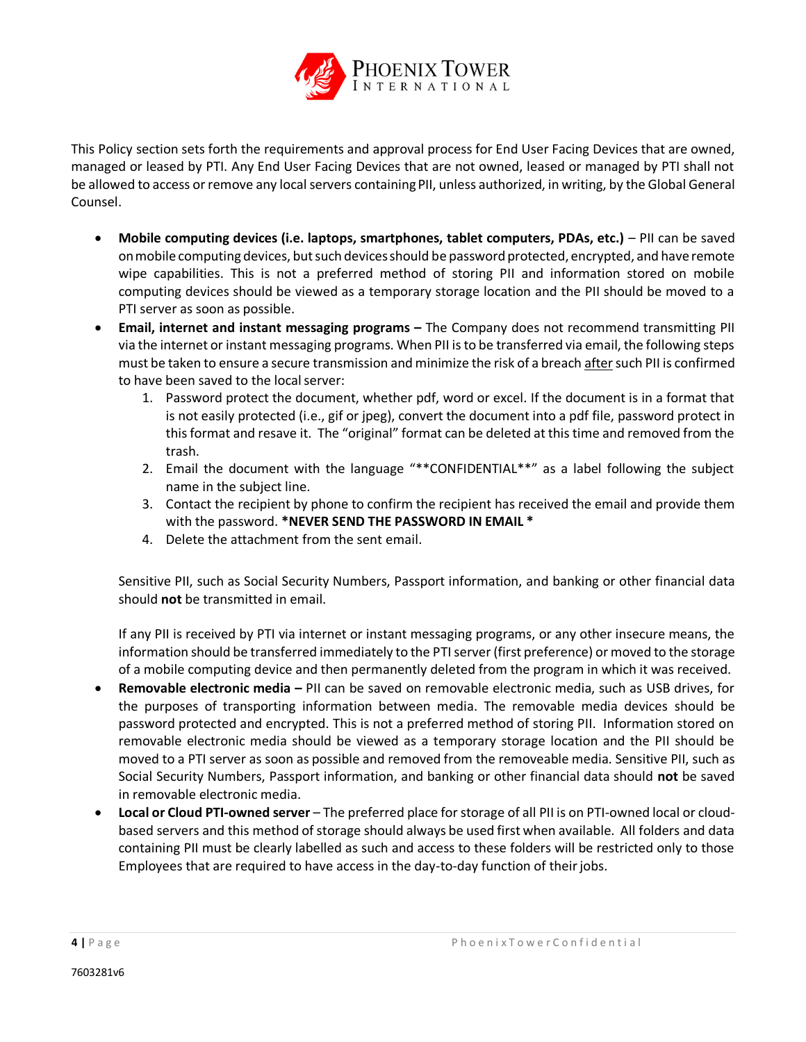

This Policy section sets forth the requirements and approval process for End User Facing Devices that are owned, managed or leased by PTI. Any End User Facing Devices that are not owned, leased or managed by PTI shall not be allowed to access or remove any local servers containingPII, unless authorized, in writing, by the Global General Counsel.

- Mobile computing devices (i.e. laptops, smartphones, tablet computers, PDAs, etc.) PII can be saved on mobile computing devices, but such devices should be password protected, encrypted, and have remote wipe capabilities. This is not a preferred method of storing PII and information stored on mobile computing devices should be viewed as a temporary storage location and the PII should be moved to a PTI server as soon as possible.
- **•** Email, internet and instant messaging programs The Company does not recommend transmitting PII via the internet or instant messaging programs. When PII is to be transferred via email, the following steps must be taken to ensure a secure transmission and minimize the risk of a breach after such PII is confirmed to have been saved to the localserver:
	- 1. Password protect the document, whether pdf, word or excel. If the document is in a format that is not easily protected (i.e., gif or jpeg), convert the document into a pdf file, password protect in thisformat and resave it. The "original" format can be deleted at this time and removed from the trash.
	- 2. Email the document with the language "\*\*CONFIDENTIAL\*\*" as a label following the subject name in the subject line.
	- 3. Contact the recipient by phone to confirm the recipient has received the email and provide them with the password. **\*NEVER SEND THE PASSWORD IN EMAIL \***
	- 4. Delete the attachment from the sent email.

Sensitive PII, such as Social Security Numbers, Passport information, and banking or other financial data should **not** be transmitted in email.

If any PII is received by PTI via internet or instant messaging programs, or any other insecure means, the information should be transferred immediately to the PTI server (first preference) or moved to the storage of a mobile computing device and then permanently deleted from the program in which it was received.

- **Removable electronic media –** PII can be saved on removable electronic media, such as USB drives, for the purposes of transporting information between media. The removable media devices should be password protected and encrypted. This is not a preferred method of storing PII. Information stored on removable electronic media should be viewed as a temporary storage location and the PII should be moved to a PTI server as soon as possible and removed from the removeable media. Sensitive PII, such as Social Security Numbers, Passport information, and banking or other financial data should **not** be saved in removable electronic media.
- **Local or Cloud PTI-owned server**  The preferred place for storage of all PII is on PTI-owned local or cloudbased servers and this method of storage should always be used first when available. All folders and data containing PII must be clearly labelled as such and access to these folders will be restricted only to those Employees that are required to have access in the day-to-day function of theirjobs.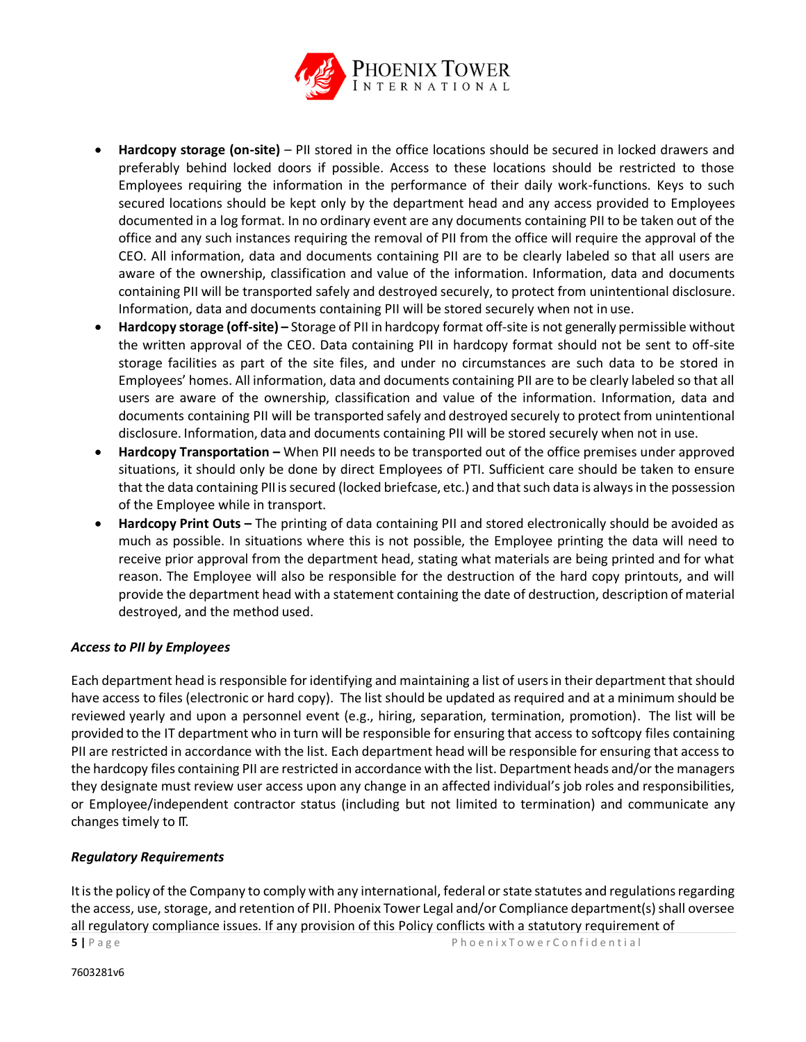

- **Hardcopy storage (on-site)**  PII stored in the office locations should be secured in locked drawers and preferably behind locked doors if possible. Access to these locations should be restricted to those Employees requiring the information in the performance of their daily work-functions. Keys to such secured locations should be kept only by the department head and any access provided to Employees documented in a log format. In no ordinary event are any documents containing PII to be taken out of the office and any such instances requiring the removal of PII from the office will require the approval of the CEO. All information, data and documents containing PII are to be clearly labeled so that all users are aware of the ownership, classification and value of the information. Information, data and documents containing PII will be transported safely and destroyed securely, to protect from unintentional disclosure. Information, data and documents containing PII will be stored securely when not in use.
- **Hardcopy storage (off-site) –** Storage of PII in hardcopy format off-site is not generally permissible without the written approval of the CEO. Data containing PII in hardcopy format should not be sent to off-site storage facilities as part of the site files, and under no circumstances are such data to be stored in Employees' homes. All information, data and documents containing PII are to be clearly labeled so that all users are aware of the ownership, classification and value of the information. Information, data and documents containing PII will be transported safely and destroyed securely to protect from unintentional disclosure. Information, data and documents containing PII will be stored securely when not in use.
- **Hardcopy Transportation –** When PII needs to be transported out of the office premises under approved situations, it should only be done by direct Employees of PTI. Sufficient care should be taken to ensure that the data containing PII is secured (locked briefcase, etc.) and that such data is always in the possession of the Employee while in transport.
- **Hardcopy Print Outs –** The printing of data containing PII and stored electronically should be avoided as much as possible. In situations where this is not possible, the Employee printing the data will need to receive prior approval from the department head, stating what materials are being printed and for what reason. The Employee will also be responsible for the destruction of the hard copy printouts, and will provide the department head with a statement containing the date of destruction, description of material destroyed, and the method used.

#### <span id="page-7-0"></span>*Access to PII by Employees*

Each department head is responsible foridentifying and maintaining a list of usersin their department thatshould have access to files (electronic or hard copy). The list should be updated as required and at a minimum should be reviewed yearly and upon a personnel event (e.g., hiring, separation, termination, promotion). The list will be provided to the IT department who in turn will be responsible for ensuring that access to softcopy files containing PII are restricted in accordance with the list. Each department head will be responsible for ensuring that access to the hardcopy files containing PII are restricted in accordance with the list. Department heads and/or the managers they designate must review user access upon any change in an affected individual's job roles and responsibilities, or Employee/independent contractor status (including but not limited to termination) and communicate any changes timely to IT.

#### <span id="page-7-1"></span>*Regulatory Requirements*

**5 |** P a g e P h o e n i x T o w e r C o n f i d e n t i a l It is the policy of the Company to comply with any international, federal or state statutes and regulations regarding the access, use, storage, and retention of PII. Phoenix Tower Legal and/or Compliance department(s) shall oversee all regulatory compliance issues. If any provision of this Policy conflicts with a statutory requirement of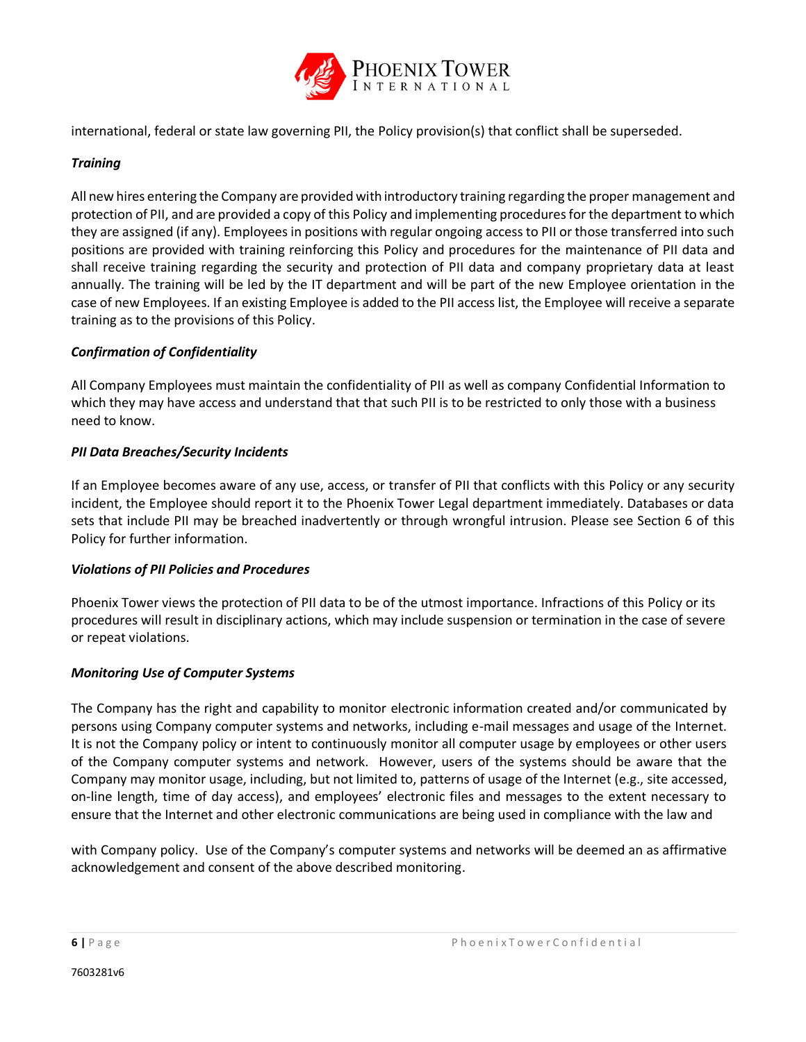

international, federal or state law governing PII, the Policy provision(s) that conflict shall be superseded.

# <span id="page-8-0"></span>*Training*

All new hires entering the Company are provided with introductory training regarding the proper management and protection of PII, and are provided a copy of this Policy and implementing procedures for the department to which they are assigned (if any). Employees in positions with regular ongoing access to PII or those transferred into such positions are provided with training reinforcing this Policy and procedures for the maintenance of PII data and shall receive training regarding the security and protection of PII data and company proprietary data at least annually. The training will be led by the IT department and will be part of the new Employee orientation in the case of new Employees. If an existing Employee is added to the PII access list, the Employee will receive a separate training as to the provisions of this Policy.

# <span id="page-8-1"></span>*Confirmation of Confidentiality*

All Company Employees must maintain the confidentiality of PII as well as company Confidential Information to which they may have access and understand that that such PII is to be restricted to only those with a business need to know.

# <span id="page-8-2"></span>*PII Data Breaches/Security Incidents*

If an Employee becomes aware of any use, access, or transfer of PII that conflicts with this Policy or any security incident, the Employee should report it to the Phoenix Tower Legal department immediately. Databases or data sets that include PII may be breached inadvertently or through wrongful intrusion. Please see Section 6 of this Policy for further information.

#### <span id="page-8-3"></span>*Violations of PII Policies and Procedures*

Phoenix Tower views the protection of PII data to be of the utmost importance. Infractions of this Policy or its procedures will result in disciplinary actions, which may include suspension or termination in the case of severe or repeat violations.

#### <span id="page-8-4"></span>*Monitoring Use of Computer Systems*

The Company has the right and capability to monitor electronic information created and/or communicated by persons using Company computer systems and networks, including e-mail messages and usage of the Internet. It is not the Company policy or intent to continuously monitor all computer usage by employees or other users of the Company computer systems and network. However, users of the systems should be aware that the Company may monitor usage, including, but not limited to, patterns of usage of the Internet (e.g., site accessed, on-line length, time of day access), and employees' electronic files and messages to the extent necessary to ensure that the Internet and other electronic communications are being used in compliance with the law and

with Company policy. Use of the Company's computer systems and networks will be deemed an as affirmative acknowledgement and consent of the above described monitoring.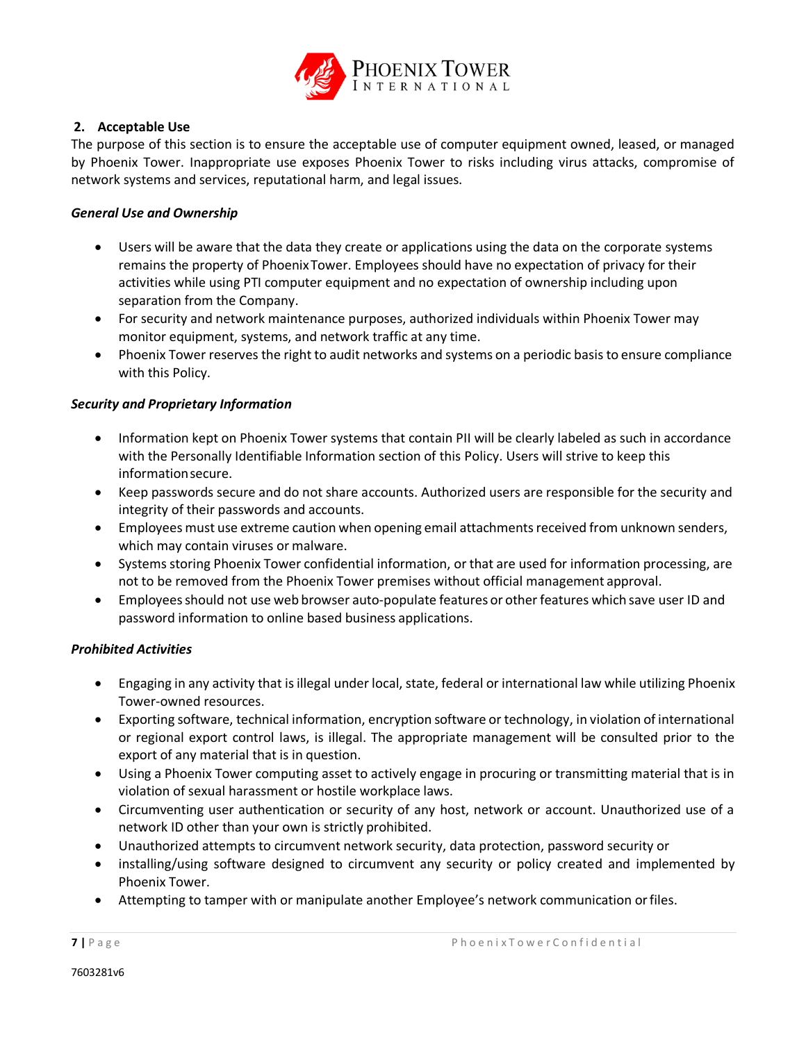

#### <span id="page-9-0"></span>**2. Acceptable Use**

The purpose of this section is to ensure the acceptable use of computer equipment owned, leased, or managed by Phoenix Tower. Inappropriate use exposes Phoenix Tower to risks including virus attacks, compromise of network systems and services, reputational harm, and legal issues.

#### <span id="page-9-1"></span>*General Use and Ownership*

- Users will be aware that the data they create or applications using the data on the corporate systems remains the property of PhoenixTower. Employees should have no expectation of privacy for their activities while using PTI computer equipment and no expectation of ownership including upon separation from the Company.
- For security and network maintenance purposes, authorized individuals within Phoenix Tower may monitor equipment, systems, and network traffic at any time.
- Phoenix Tower reserves the right to audit networks and systems on a periodic basis to ensure compliance with this Policy.

#### <span id="page-9-2"></span>*Security and Proprietary Information*

- Information kept on Phoenix Tower systems that contain PII will be clearly labeled as such in accordance with the Personally Identifiable Information section of this Policy. Users will strive to keep this informationsecure.
- Keep passwords secure and do not share accounts. Authorized users are responsible for the security and integrity of their passwords and accounts.
- Employees must use extreme caution when opening email attachments received from unknown senders, which may contain viruses or malware.
- Systems storing Phoenix Tower confidential information, or that are used for information processing, are not to be removed from the Phoenix Tower premises without official management approval.
- Employees should not use web browser auto-populate features or other features which save user ID and password information to online based business applications.

#### <span id="page-9-3"></span>*Prohibited Activities*

- Engaging in any activity that isillegal under local, state, federal or international law while utilizing Phoenix Tower-owned resources.
- Exporting software, technical information, encryption software or technology, in violation of international or regional export control laws, is illegal. The appropriate management will be consulted prior to the export of any material that is in question.
- Using a Phoenix Tower computing asset to actively engage in procuring or transmitting material that is in violation of sexual harassment or hostile workplace laws.
- Circumventing user authentication or security of any host, network or account. Unauthorized use of a network ID other than your own is strictly prohibited.
- Unauthorized attempts to circumvent network security, data protection, password security or
- installing/using software designed to circumvent any security or policy created and implemented by Phoenix Tower.
- Attempting to tamper with or manipulate another Employee's network communication orfiles.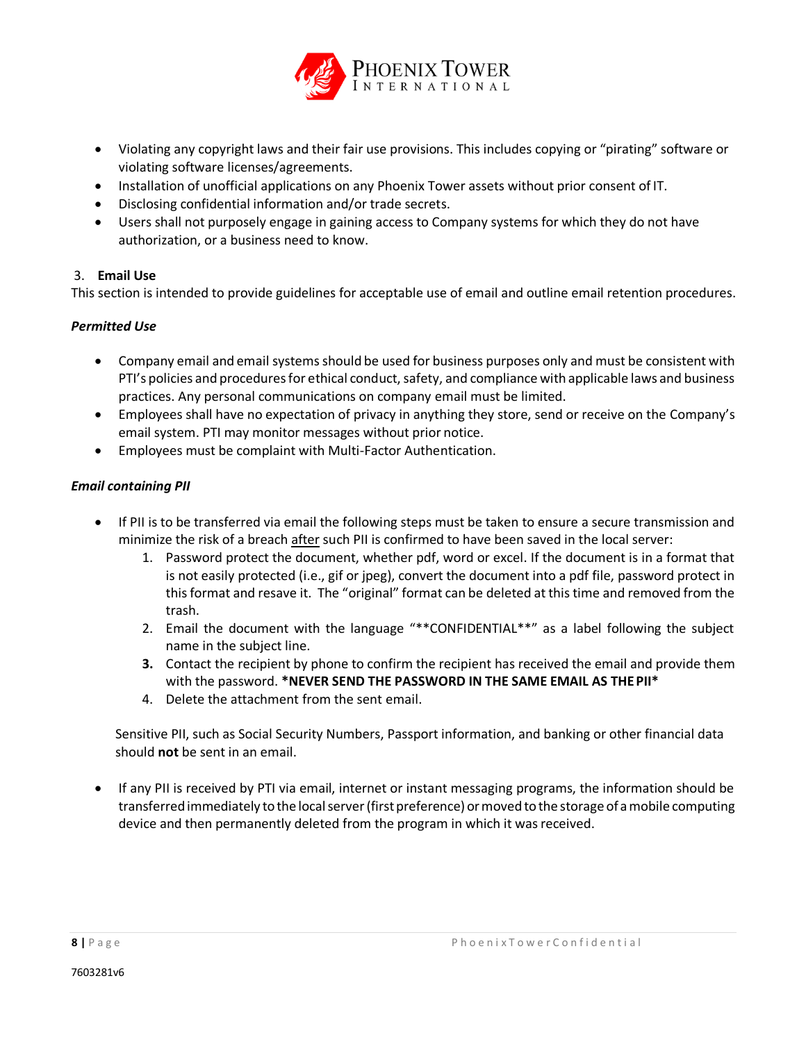

- Violating any copyright laws and their fair use provisions. This includes copying or "pirating" software or violating software licenses/agreements.
- Installation of unofficial applications on any Phoenix Tower assets without prior consent of IT.
- Disclosing confidential information and/or trade secrets.
- Users shall not purposely engage in gaining access to Company systems for which they do not have authorization, or a business need to know.

# <span id="page-10-0"></span>3. **Email Use**

This section is intended to provide guidelines for acceptable use of email and outline email retention procedures.

# <span id="page-10-1"></span>*Permitted Use*

- Company email and email systemsshould be used for business purposes only and must be consistent with PTI's policies and procedures for ethical conduct, safety, and compliance with applicable laws and business practices. Any personal communications on company email must be limited.
- Employees shall have no expectation of privacy in anything they store, send or receive on the Company's email system. PTI may monitor messages without prior notice.
- Employees must be complaint with Multi-Factor Authentication.

# <span id="page-10-2"></span>*Email containing PII*

- If PII is to be transferred via email the following steps must be taken to ensure a secure transmission and minimize the risk of a breach after such PII is confirmed to have been saved in the local server:
	- 1. Password protect the document, whether pdf, word or excel. If the document is in a format that is not easily protected (i.e., gif or jpeg), convert the document into a pdf file, password protect in thisformat and resave it. The "original" format can be deleted at this time and removed from the trash.
	- 2. Email the document with the language "\*\*CONFIDENTIAL\*\*" as a label following the subject name in the subject line.
	- **3.** Contact the recipient by phone to confirm the recipient has received the email and provide them with the password. **\*NEVER SEND THE PASSWORD IN THE SAME EMAIL AS THEPII\***
	- 4. Delete the attachment from the sent email.

Sensitive PII, such as Social Security Numbers, Passport information, and banking or other financial data should **not** be sent in an email.

• If any PII is received by PTI via email, internet or instant messaging programs, the information should be transferred immediately to the local server (first preference) or moved to the storage of a mobile computing device and then permanently deleted from the program in which it was received.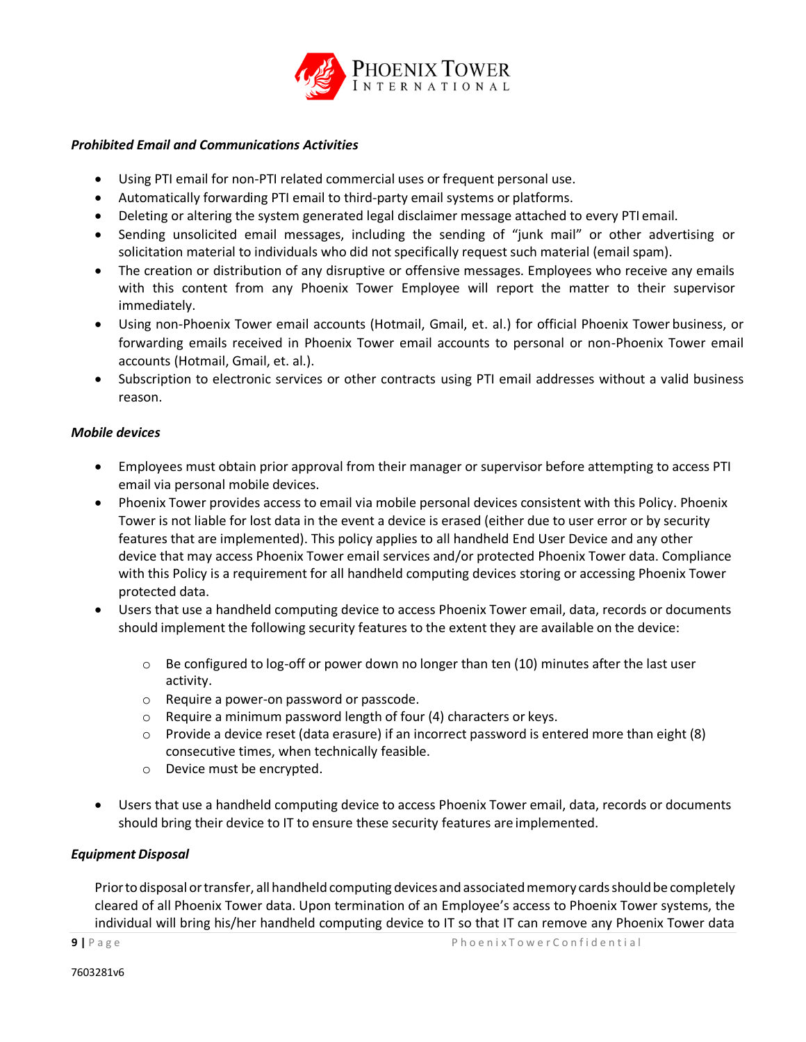

#### <span id="page-11-0"></span>*Prohibited Email and Communications Activities*

- Using PTI email for non-PTI related commercial uses or frequent personal use.
- Automatically forwarding PTI email to third-party email systems or platforms.
- Deleting or altering the system generated legal disclaimer message attached to every PTI email.
- Sending unsolicited email messages, including the sending of "junk mail" or other advertising or solicitation material to individuals who did not specifically request such material (email spam).
- The creation or distribution of any disruptive or offensive messages. Employees who receive any emails with this content from any Phoenix Tower Employee will report the matter to their supervisor immediately.
- Using non-Phoenix Tower email accounts (Hotmail, Gmail, et. al.) for official Phoenix Tower business, or forwarding emails received in Phoenix Tower email accounts to personal or non-Phoenix Tower email accounts (Hotmail, Gmail, et. al.).
- Subscription to electronic services or other contracts using PTI email addresses without a valid business reason.

#### <span id="page-11-1"></span>*Mobile devices*

- Employees must obtain prior approval from their manager or supervisor before attempting to access PTI email via personal mobile devices.
- Phoenix Tower provides access to email via mobile personal devices consistent with this Policy. Phoenix Tower is not liable for lost data in the event a device is erased (either due to user error or by security features that are implemented). This policy applies to all handheld End User Device and any other device that may access Phoenix Tower email services and/or protected Phoenix Tower data. Compliance with this Policy is a requirement for all handheld computing devices storing or accessing Phoenix Tower protected data.
- Users that use a handheld computing device to access Phoenix Tower email, data, records or documents should implement the following security features to the extent they are available on the device:
	- $\circ$  Be configured to log-off or power down no longer than ten (10) minutes after the last user activity.
	- o Require a power-on password or passcode.
	- o Require a minimum password length of four (4) characters or keys.
	- $\circ$  Provide a device reset (data erasure) if an incorrect password is entered more than eight (8) consecutive times, when technically feasible.
	- o Device must be encrypted.
- Users that use a handheld computing device to access Phoenix Tower email, data, records or documents should bring their device to IT to ensure these security features are implemented.

#### <span id="page-11-2"></span>*Equipment Disposal*

Prior to disposal or transfer, all handheld computing devices and associated memory cards should be completely cleared of all Phoenix Tower data. Upon termination of an Employee's access to Phoenix Tower systems, the individual will bring his/her handheld computing device to IT so that IT can remove any Phoenix Tower data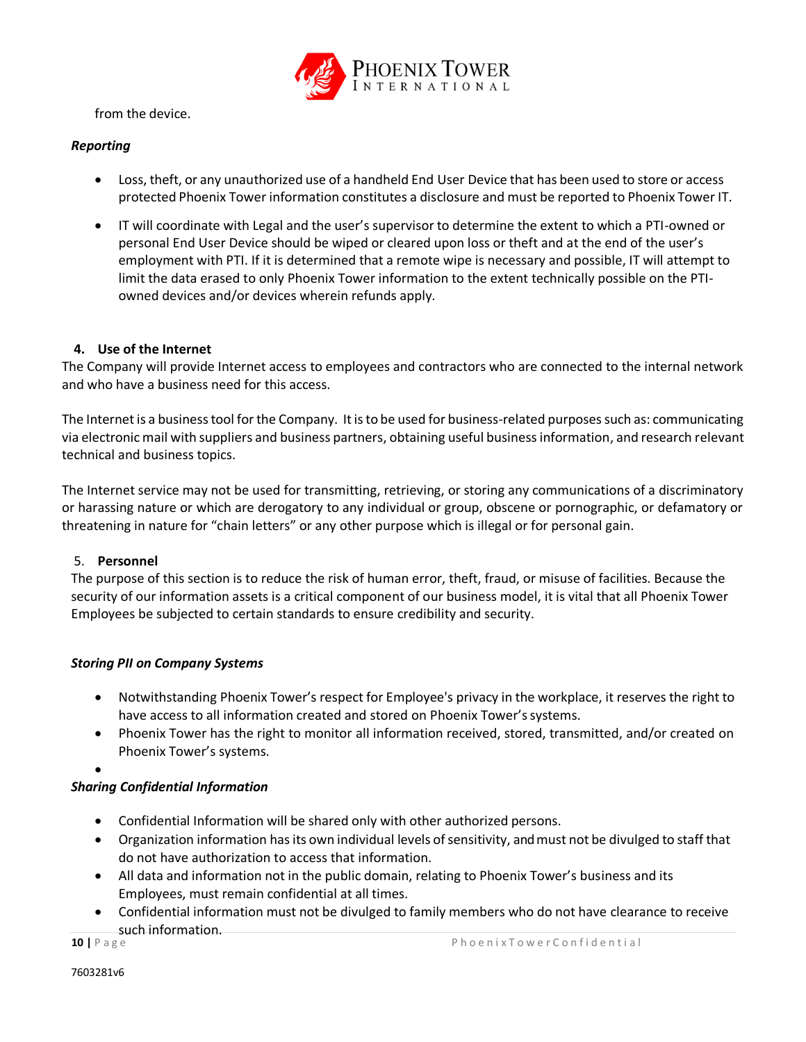

from the device.

# <span id="page-12-0"></span>*Reporting*

- Loss, theft, or any unauthorized use of a handheld End User Device that has been used to store or access protected Phoenix Tower information constitutes a disclosure and must be reported to Phoenix Tower IT.
- IT will coordinate with Legal and the user's supervisor to determine the extent to which a PTI-owned or personal End User Device should be wiped or cleared upon loss or theft and at the end of the user's employment with PTI. If it is determined that a remote wipe is necessary and possible, IT will attempt to limit the data erased to only Phoenix Tower information to the extent technically possible on the PTIowned devices and/or devices wherein refunds apply.

# <span id="page-12-1"></span>**4. Use of the Internet**

The Company will provide Internet access to employees and contractors who are connected to the internal network and who have a business need for this access.

The Internet is a business tool for the Company. It is to be used for business-related purposes such as: communicating via electronic mail with suppliers and business partners, obtaining useful business information, and research relevant technical and business topics.

The Internet service may not be used for transmitting, retrieving, or storing any communications of a discriminatory or harassing nature or which are derogatory to any individual or group, obscene or pornographic, or defamatory or threatening in nature for "chain letters" or any other purpose which is illegal or for personal gain.

#### <span id="page-12-2"></span>5. **Personnel**

The purpose of this section is to reduce the risk of human error, theft, fraud, or misuse of facilities. Because the security of our information assets is a critical component of our business model, it is vital that all Phoenix Tower Employees be subjected to certain standards to ensure credibility and security.

#### <span id="page-12-3"></span>*Storing PII on Company Systems*

- Notwithstanding Phoenix Tower's respect for Employee's privacy in the workplace, it reserves the right to have access to all information created and stored on Phoenix Tower's systems.
- Phoenix Tower has the right to monitor all information received, stored, transmitted, and/or created on Phoenix Tower's systems.

•

# <span id="page-12-4"></span>*Sharing Confidential Information*

- Confidential Information will be shared only with other authorized persons.
- Organization information has its own individual levels of sensitivity, and must not be divulged to staff that do not have authorization to access that information.
- All data and information not in the public domain, relating to Phoenix Tower's business and its Employees, must remain confidential at all times.
- Confidential information must not be divulged to family members who do not have clearance to receive such information.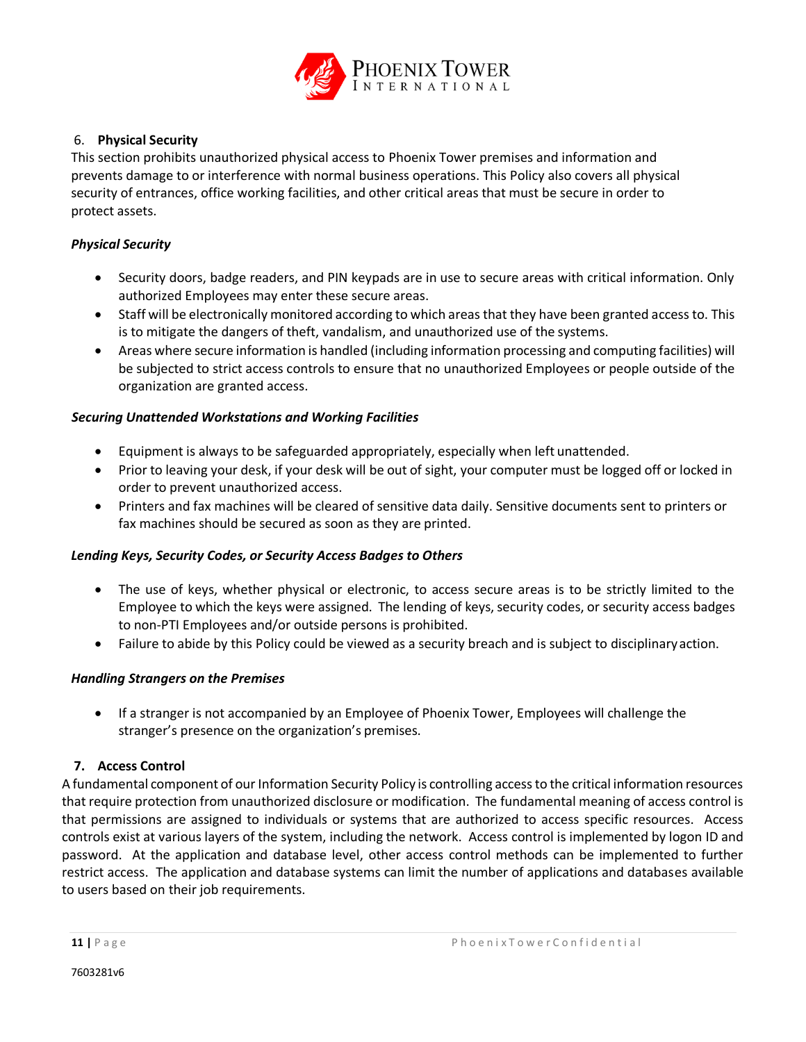

# <span id="page-13-0"></span>6. **Physical Security**

This section prohibits unauthorized physical access to Phoenix Tower premises and information and prevents damage to or interference with normal business operations. This Policy also covers all physical security of entrances, office working facilities, and other critical areas that must be secure in order to protect assets.

# <span id="page-13-1"></span>*Physical Security*

- Security doors, badge readers, and PIN keypads are in use to secure areas with critical information. Only authorized Employees may enter these secure areas.
- Staff will be electronically monitored according to which areas that they have been granted access to. This is to mitigate the dangers of theft, vandalism, and unauthorized use of the systems.
- Areas where secure information is handled (including information processing and computing facilities) will be subjected to strict access controls to ensure that no unauthorized Employees or people outside of the organization are granted access.

#### <span id="page-13-2"></span>*Securing Unattended Workstations and Working Facilities*

- Equipment is always to be safeguarded appropriately, especially when left unattended.
- Prior to leaving your desk, if your desk will be out of sight, your computer must be logged off or locked in order to prevent unauthorized access.
- Printers and fax machines will be cleared of sensitive data daily. Sensitive documents sent to printers or fax machines should be secured as soon as they are printed.

#### <span id="page-13-3"></span>*Lending Keys, Security Codes, or Security Access Badges to Others*

- The use of keys, whether physical or electronic, to access secure areas is to be strictly limited to the Employee to which the keys were assigned. The lending of keys, security codes, or security access badges to non-PTI Employees and/or outside persons is prohibited.
- Failure to abide by this Policy could be viewed as a security breach and is subject to disciplinaryaction.

#### <span id="page-13-4"></span>*Handling Strangers on the Premises*

• If a stranger is not accompanied by an Employee of Phoenix Tower, Employees will challenge the stranger's presence on the organization's premises.

# <span id="page-13-5"></span>**7. Access Control**

A fundamental component of our Information Security Policy is controlling access to the critical information resources that require protection from unauthorized disclosure or modification. The fundamental meaning of access control is that permissions are assigned to individuals or systems that are authorized to access specific resources. Access controls exist at various layers of the system, including the network. Access control is implemented by logon ID and password. At the application and database level, other access control methods can be implemented to further restrict access. The application and database systems can limit the number of applications and databases available to users based on their job requirements.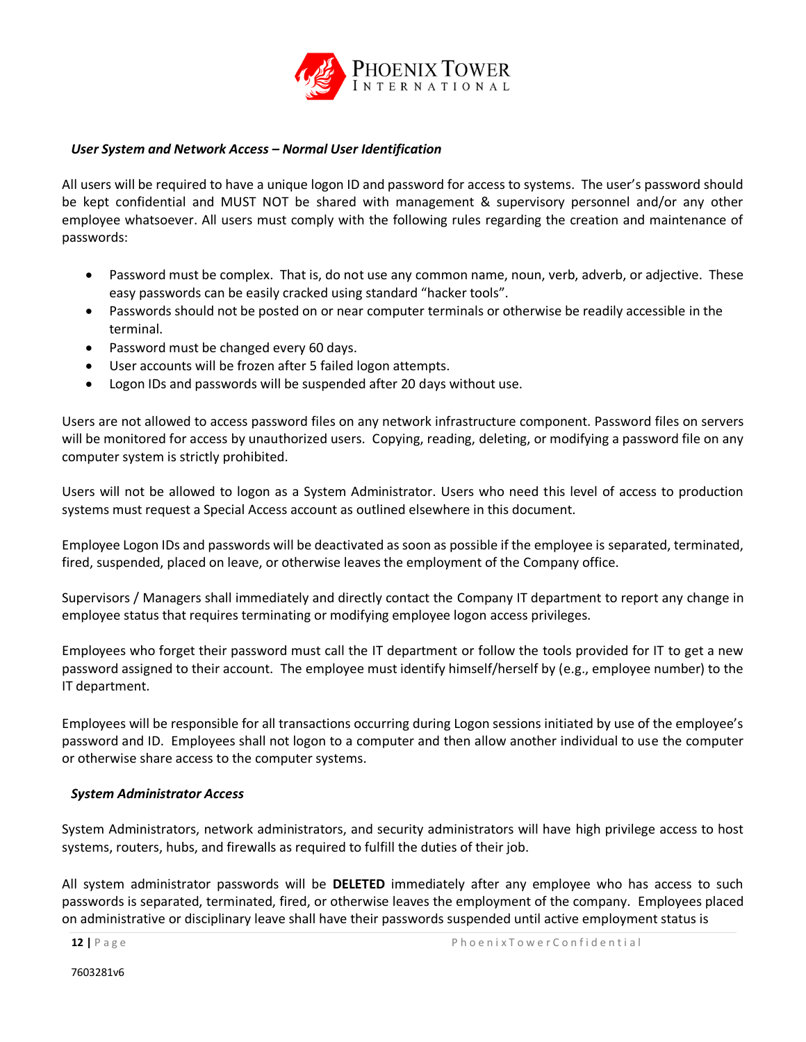

#### <span id="page-14-0"></span>*User System and Network Access – Normal User Identification*

All users will be required to have a unique logon ID and password for access to systems. The user's password should be kept confidential and MUST NOT be shared with management & supervisory personnel and/or any other employee whatsoever. All users must comply with the following rules regarding the creation and maintenance of passwords:

- Password must be complex. That is, do not use any common name, noun, verb, adverb, or adjective. These easy passwords can be easily cracked using standard "hacker tools".
- Passwords should not be posted on or near computer terminals or otherwise be readily accessible in the terminal.
- Password must be changed every 60 days.
- User accounts will be frozen after 5 failed logon attempts.
- Logon IDs and passwords will be suspended after 20 days without use.

Users are not allowed to access password files on any network infrastructure component. Password files on servers will be monitored for access by unauthorized users. Copying, reading, deleting, or modifying a password file on any computer system is strictly prohibited.

Users will not be allowed to logon as a System Administrator. Users who need this level of access to production systems must request a Special Access account as outlined elsewhere in this document.

Employee Logon IDs and passwords will be deactivated as soon as possible if the employee is separated, terminated, fired, suspended, placed on leave, or otherwise leaves the employment of the Company office.

Supervisors / Managers shall immediately and directly contact the Company IT department to report any change in employee status that requires terminating or modifying employee logon access privileges.

Employees who forget their password must call the IT department or follow the tools provided for IT to get a new password assigned to their account. The employee must identify himself/herself by (e.g., employee number) to the IT department.

Employees will be responsible for all transactions occurring during Logon sessions initiated by use of the employee's password and ID. Employees shall not logon to a computer and then allow another individual to use the computer or otherwise share access to the computer systems.

#### <span id="page-14-1"></span>*System Administrator Access*

System Administrators, network administrators, and security administrators will have high privilege access to host systems, routers, hubs, and firewalls as required to fulfill the duties of their job.

All system administrator passwords will be **DELETED** immediately after any employee who has access to such passwords is separated, terminated, fired, or otherwise leaves the employment of the company. Employees placed on administrative or disciplinary leave shall have their passwords suspended until active employment status is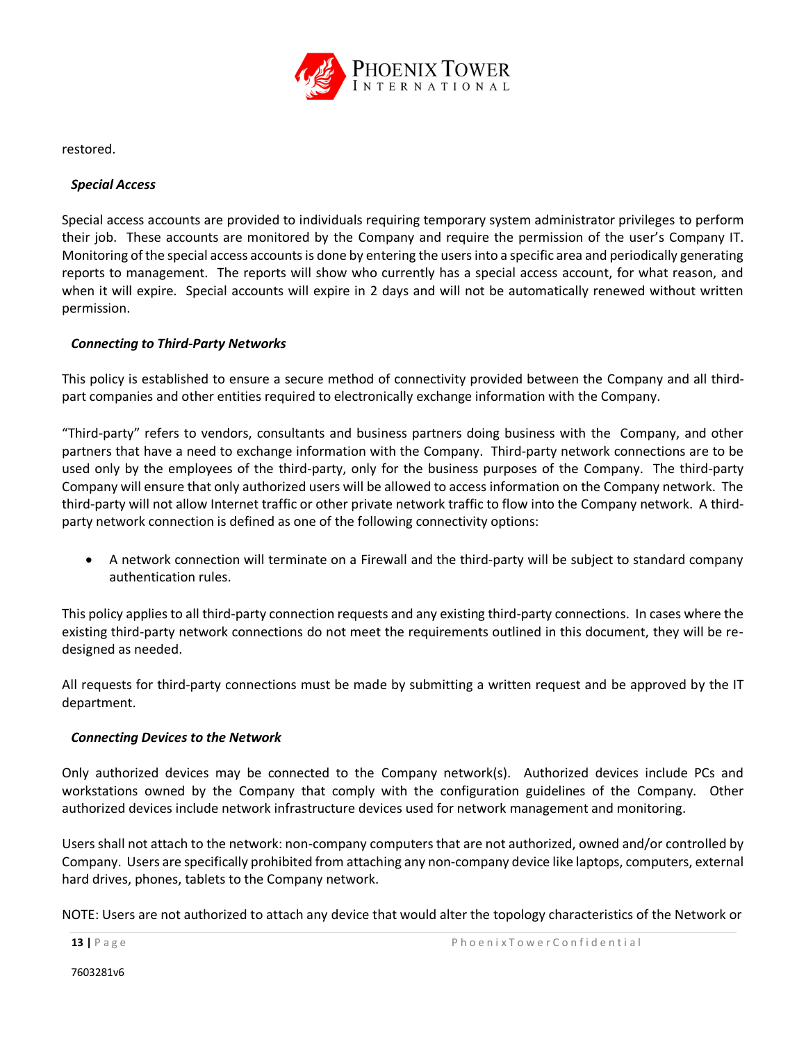

restored.

#### <span id="page-15-0"></span>*Special Access*

Special access accounts are provided to individuals requiring temporary system administrator privileges to perform their job. These accounts are monitored by the Company and require the permission of the user's Company IT. Monitoring of the special access accounts is done by entering the users into a specific area and periodically generating reports to management. The reports will show who currently has a special access account, for what reason, and when it will expire. Special accounts will expire in 2 days and will not be automatically renewed without written permission.

# <span id="page-15-1"></span>*Connecting to Third-Party Networks*

This policy is established to ensure a secure method of connectivity provided between the Company and all thirdpart companies and other entities required to electronically exchange information with the Company.

"Third-party" refers to vendors, consultants and business partners doing business with the Company, and other partners that have a need to exchange information with the Company. Third-party network connections are to be used only by the employees of the third-party, only for the business purposes of the Company. The third-party Company will ensure that only authorized users will be allowed to access information on the Company network. The third-party will not allow Internet traffic or other private network traffic to flow into the Company network. A thirdparty network connection is defined as one of the following connectivity options:

• A network connection will terminate on a Firewall and the third-party will be subject to standard company authentication rules.

This policy applies to all third-party connection requests and any existing third-party connections. In cases where the existing third-party network connections do not meet the requirements outlined in this document, they will be redesigned as needed.

All requests for third-party connections must be made by submitting a written request and be approved by the IT department.

#### <span id="page-15-2"></span>*Connecting Devices to the Network*

Only authorized devices may be connected to the Company network(s). Authorized devices include PCs and workstations owned by the Company that comply with the configuration guidelines of the Company. Other authorized devices include network infrastructure devices used for network management and monitoring.

Users shall not attach to the network: non-company computers that are not authorized, owned and/or controlled by Company. Users are specifically prohibited from attaching any non-company device like laptops, computers, external hard drives, phones, tablets to the Company network.

NOTE: Users are not authorized to attach any device that would alter the topology characteristics of the Network or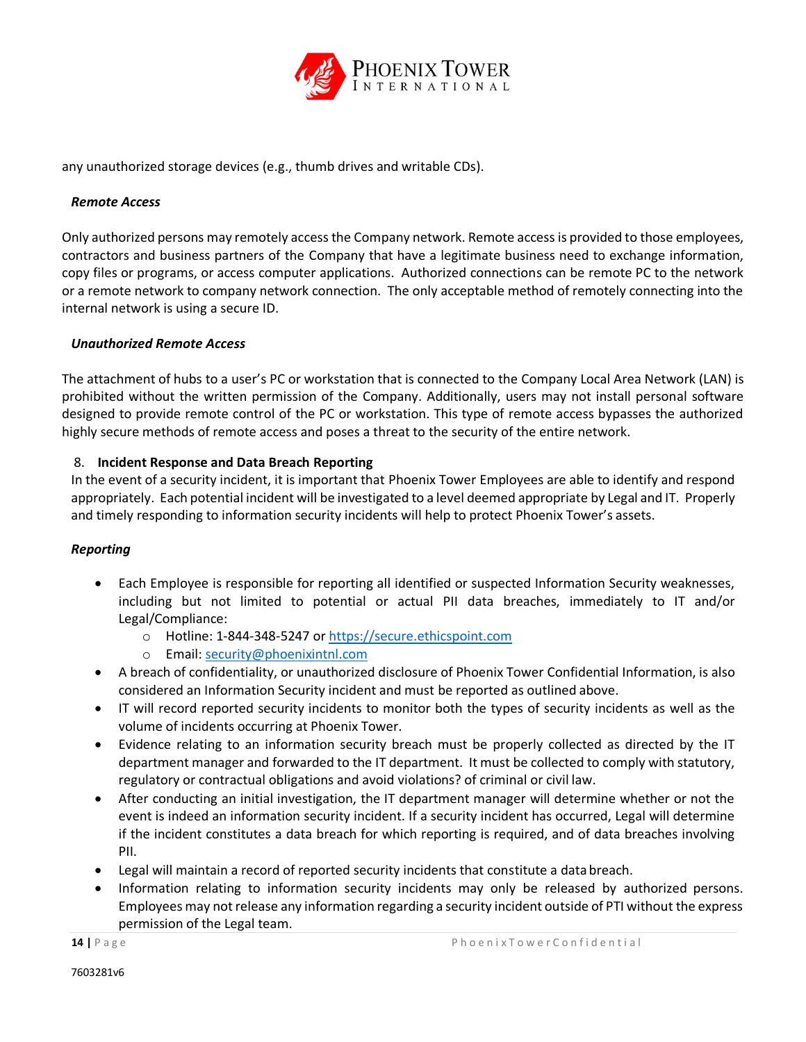

any unauthorized storage devices (e.g., thumb drives and writable CDs).

#### <span id="page-16-0"></span>*Remote Access*

Only authorized persons may remotely access the Company network. Remote access is provided to those employees, contractors and business partners of the Company that have a legitimate business need to exchange information, copy files or programs, or access computer applications. Authorized connections can be remote PC to the network or a remote network to company network connection. The only acceptable method of remotely connecting into the internal network is using a secure ID.

#### <span id="page-16-1"></span>*Unauthorized Remote Access*

The attachment of hubs to a user's PC or workstation that is connected to the Company Local Area Network (LAN) is prohibited without the written permission of the Company. Additionally, users may not install personal software designed to provide remote control of the PC or workstation. This type of remote access bypasses the authorized highly secure methods of remote access and poses a threat to the security of the entire network.

#### <span id="page-16-2"></span>8. **Incident Response and Data Breach Reporting**

In the event of a security incident, it is important that Phoenix Tower Employees are able to identify and respond appropriately. Each potential incident will be investigated to a level deemed appropriate by Legal and IT. Properly and timely responding to information security incidents will help to protect Phoenix Tower's assets.

#### <span id="page-16-3"></span>*Reporting*

- Each Employee is responsible for reporting all identified or suspected Information Security weaknesses, including but not limited to potential or actual PII data breaches, immediately to IT and/or Legal/Compliance:
	- o Hotline: 1-844-348-5247 or [https://secure.ethicspoint.com](https://secure.ethicspoint.com/)
	- o Email: [security@phoenixintnl.com](mailto:security@phoenixintnl.com)
- A breach of confidentiality, or unauthorized disclosure of Phoenix Tower Confidential Information, is also considered an Information Security incident and must be reported as outlined above.
- IT will record reported security incidents to monitor both the types of security incidents as well as the volume of incidents occurring at Phoenix Tower.
- Evidence relating to an information security breach must be properly collected as directed by the IT department manager and forwarded to the IT department. It must be collected to comply with statutory, regulatory or contractual obligations and avoid violations? of criminal or civil law.
- After conducting an initial investigation, the IT department manager will determine whether or not the event is indeed an information security incident. If a security incident has occurred, Legal will determine if the incident constitutes a data breach for which reporting is required, and of data breaches involving PII.
- Legal will maintain a record of reported security incidents that constitute a data breach.
- Information relating to information security incidents may only be released by authorized persons. Employees may not release any information regarding a security incident outside of PTI without the express permission of the Legal team.